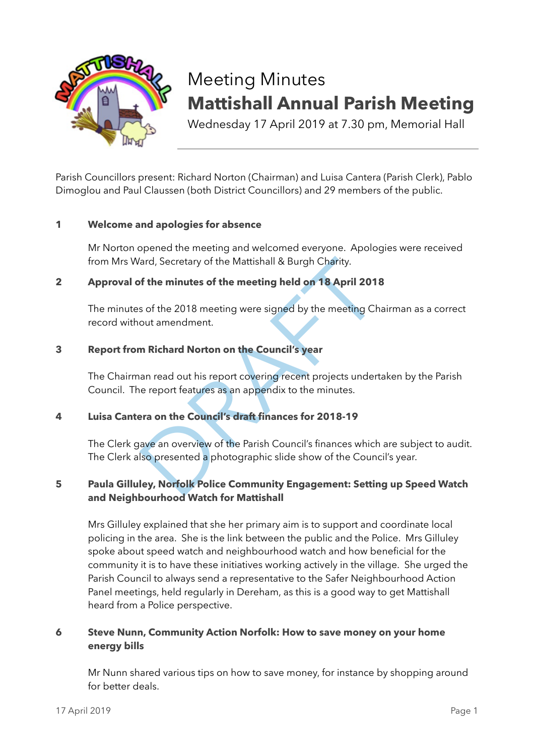

# Meeting Minutes **Mattishall Annual Parish Meeting**

Wednesday 17 April 2019 at 7.30 pm, Memorial Hall

Parish Councillors present: Richard Norton (Chairman) and Luisa Cantera (Parish Clerk), Pablo Dimoglou and Paul Claussen (both District Councillors) and 29 members of the public.

### **1 Welcome and apologies for absence**

 Mr Norton opened the meeting and welcomed everyone. Apologies were received from Mrs Ward, Secretary of the Mattishall & Burgh Charity.

### **2 Approval of the minutes of the meeting held on 18 April 2018**

ard, Secretary of the Mattishall & Burgh Charity.<br> **Solution 18 April 2018**<br>
So f the 2018 meeting were signed by the meeting Chairr<br>
out amendment.<br> **n** Richard Norton on the Council's year<br>
an read out his report coverin The minutes of the 2018 meeting were signed by the meeting Chairman as a correct record without amendment.

### **3 Report from Richard Norton on the Council's year**

The Chairman read out his report covering recent projects undertaken by the Parish Council. The report features as an appendix to the minutes.

## **4 Luisa Cantera on the Council's draft finances for 2018-19**

The Clerk gave an overview of the Parish Council's finances which are subject to audit. The Clerk also presented a photographic slide show of the Council's year.

## **5 Paula Gilluley, Norfolk Police Community Engagement: Setting up Speed Watch and Neighbourhood Watch for Mattishall**

Mrs Gilluley explained that she her primary aim is to support and coordinate local policing in the area. She is the link between the public and the Police. Mrs Gilluley spoke about speed watch and neighbourhood watch and how beneficial for the community it is to have these initiatives working actively in the village. She urged the Parish Council to always send a representative to the Safer Neighbourhood Action Panel meetings, held regularly in Dereham, as this is a good way to get Mattishall heard from a Police perspective.

### **6 Steve Nunn, Community Action Norfolk: How to save money on your home energy bills**

Mr Nunn shared various tips on how to save money, for instance by shopping around for better deals.